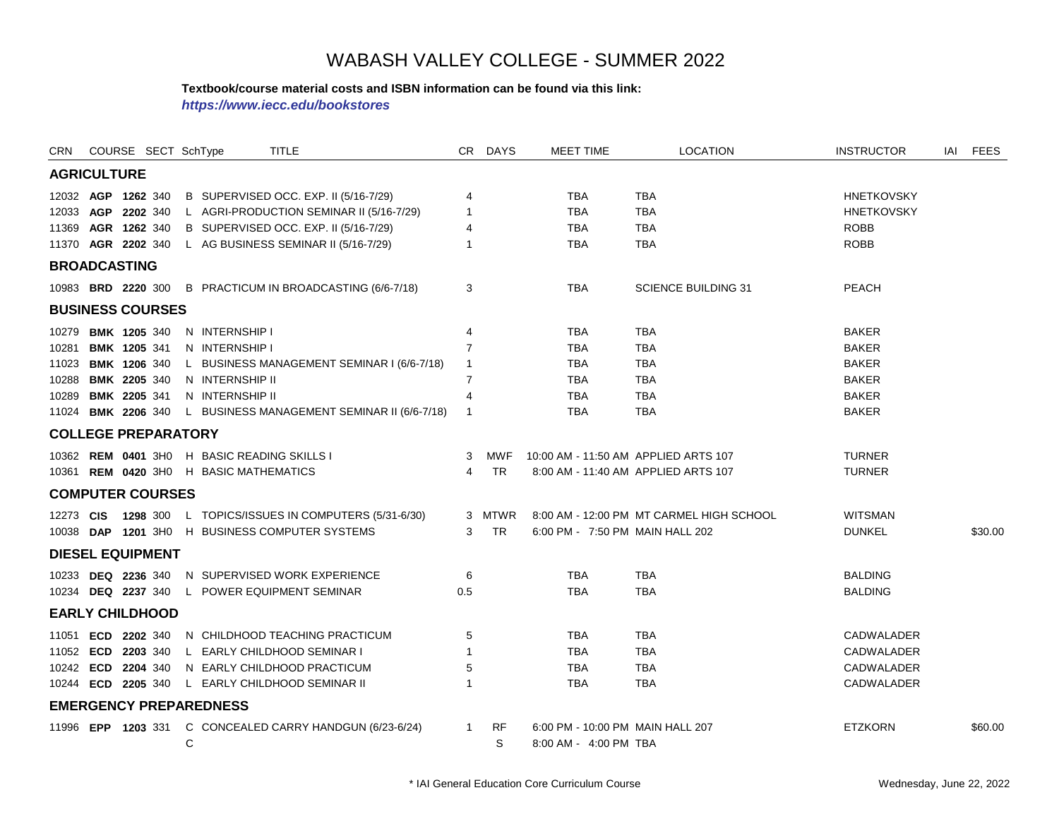#### **Textbook/course material costs and ISBN information can be found via this link:**

*https://www.iecc.edu/bookstores*

| CRN                        | COURSE SECT SchType |  |   |                                             | <b>TITLE</b>                                                |                | CR DAYS   | <b>MEET TIME</b>                 | <b>LOCATION</b>                          | <b>INSTRUCTOR</b> | IAI | <b>FEES</b> |
|----------------------------|---------------------|--|---|---------------------------------------------|-------------------------------------------------------------|----------------|-----------|----------------------------------|------------------------------------------|-------------------|-----|-------------|
| <b>AGRICULTURE</b>         |                     |  |   |                                             |                                                             |                |           |                                  |                                          |                   |     |             |
| 12032 AGP 1262 340         |                     |  |   |                                             | B SUPERVISED OCC. EXP. II (5/16-7/29)                       | 4              |           | <b>TBA</b>                       | <b>TBA</b>                               | <b>HNETKOVSKY</b> |     |             |
| 12033 AGP 2202 340         |                     |  |   |                                             | L AGRI-PRODUCTION SEMINAR II (5/16-7/29)                    | $\overline{1}$ |           | <b>TBA</b>                       | <b>TBA</b>                               | <b>HNETKOVSKY</b> |     |             |
| 11369                      | AGR 1262 340        |  |   |                                             | B SUPERVISED OCC. EXP. II (5/16-7/29)                       | 4              |           | TBA                              | <b>TBA</b>                               | <b>ROBB</b>       |     |             |
| 11370 AGR 2202 340         |                     |  |   |                                             | L AG BUSINESS SEMINAR II (5/16-7/29)                        |                |           | <b>TBA</b>                       | <b>TBA</b>                               | <b>ROBB</b>       |     |             |
| <b>BROADCASTING</b>        |                     |  |   |                                             |                                                             |                |           |                                  |                                          |                   |     |             |
|                            |                     |  |   |                                             | 10983 BRD 2220 300 B PRACTICUM IN BROADCASTING (6/6-7/18)   | 3              |           | <b>TBA</b>                       | <b>SCIENCE BUILDING 31</b>               | <b>PEACH</b>      |     |             |
| <b>BUSINESS COURSES</b>    |                     |  |   |                                             |                                                             |                |           |                                  |                                          |                   |     |             |
| 10279 <b>BMK 1205</b> 340  |                     |  |   | N INTERNSHIP I                              |                                                             | $\overline{4}$ |           | TBA                              | <b>TBA</b>                               | <b>BAKER</b>      |     |             |
| 10281                      | <b>BMK 1205 341</b> |  |   | N INTERNSHIP I                              |                                                             | $\overline{7}$ |           | <b>TBA</b>                       | <b>TBA</b>                               | <b>BAKER</b>      |     |             |
| 11023 BMK 1206 340         |                     |  |   |                                             | L BUSINESS MANAGEMENT SEMINAR I (6/6-7/18)                  | $\mathbf{1}$   |           | <b>TBA</b>                       | <b>TBA</b>                               | <b>BAKER</b>      |     |             |
| 10288 BMK 2205 340         |                     |  |   | N INTERNSHIP II                             |                                                             | 7              |           | TBA                              | <b>TBA</b>                               | <b>BAKER</b>      |     |             |
| 10289 BMK 2205 341         |                     |  |   | N INTERNSHIP II                             |                                                             | $\overline{4}$ |           | <b>TBA</b>                       | <b>TBA</b>                               | <b>BAKER</b>      |     |             |
| 11024 BMK 2206 340         |                     |  |   |                                             | L BUSINESS MANAGEMENT SEMINAR II (6/6-7/18)                 | $\overline{1}$ |           | <b>TBA</b>                       | <b>TBA</b>                               | <b>BAKER</b>      |     |             |
| <b>COLLEGE PREPARATORY</b> |                     |  |   |                                             |                                                             |                |           |                                  |                                          |                   |     |             |
|                            |                     |  |   | 10362 REM 0401 3H0 H BASIC READING SKILLS I |                                                             | 3              | MWF       |                                  | 10:00 AM - 11:50 AM APPLIED ARTS 107     | <b>TURNER</b>     |     |             |
|                            |                     |  |   | 10361 REM 0420 3H0 H BASIC MATHEMATICS      |                                                             | 4              | <b>TR</b> |                                  | 8:00 AM - 11:40 AM APPLIED ARTS 107      | <b>TURNER</b>     |     |             |
| <b>COMPUTER COURSES</b>    |                     |  |   |                                             |                                                             |                |           |                                  |                                          |                   |     |             |
|                            |                     |  |   |                                             | 12273 CIS 1298 300 L TOPICS/ISSUES IN COMPUTERS (5/31-6/30) |                | 3 MTWR    |                                  | 8:00 AM - 12:00 PM MT CARMEL HIGH SCHOOL | <b>WITSMAN</b>    |     |             |
|                            |                     |  |   |                                             | 10038 DAP 1201 3H0 H BUSINESS COMPUTER SYSTEMS              | 3              | <b>TR</b> | 6:00 PM - 7:50 PM MAIN HALL 202  |                                          | <b>DUNKEL</b>     |     | \$30.00     |
| <b>DIESEL EQUIPMENT</b>    |                     |  |   |                                             |                                                             |                |           |                                  |                                          |                   |     |             |
| 10233 DEQ 2236 340         |                     |  |   |                                             | N SUPERVISED WORK EXPERIENCE                                | 6              |           | <b>TBA</b>                       | <b>TBA</b>                               | <b>BALDING</b>    |     |             |
| 10234 DEQ 2237 340         |                     |  |   |                                             | L POWER EQUIPMENT SEMINAR                                   | 0.5            |           | <b>TBA</b>                       | <b>TBA</b>                               | <b>BALDING</b>    |     |             |
| <b>EARLY CHILDHOOD</b>     |                     |  |   |                                             |                                                             |                |           |                                  |                                          |                   |     |             |
| 11051 ECD 2202 340         |                     |  |   |                                             | N CHILDHOOD TEACHING PRACTICUM                              | 5              |           | <b>TBA</b>                       | <b>TBA</b>                               | <b>CADWALADER</b> |     |             |
| 11052 ECD 2203 340         |                     |  |   |                                             | L EARLY CHILDHOOD SEMINAR I                                 |                |           | <b>TBA</b>                       | <b>TBA</b>                               | <b>CADWALADER</b> |     |             |
| 10242 ECD 2204 340         |                     |  |   |                                             | N EARLY CHILDHOOD PRACTICUM                                 | 5              |           | <b>TBA</b>                       | <b>TBA</b>                               | <b>CADWALADER</b> |     |             |
| 10244 ECD 2205 340         |                     |  |   |                                             | L EARLY CHILDHOOD SEMINAR II                                |                |           | <b>TBA</b>                       | <b>TBA</b>                               | CADWALADER        |     |             |
|                            |                     |  |   | <b>EMERGENCY PREPAREDNESS</b>               |                                                             |                |           |                                  |                                          |                   |     |             |
|                            |                     |  |   |                                             | 11996 EPP 1203 331 C CONCEALED CARRY HANDGUN (6/23-6/24)    | $\mathbf{1}$   | <b>RF</b> | 6:00 PM - 10:00 PM MAIN HALL 207 |                                          | <b>ETZKORN</b>    |     | \$60.00     |
|                            |                     |  | C |                                             |                                                             |                | S         | 8:00 AM - 4:00 PM TBA            |                                          |                   |     |             |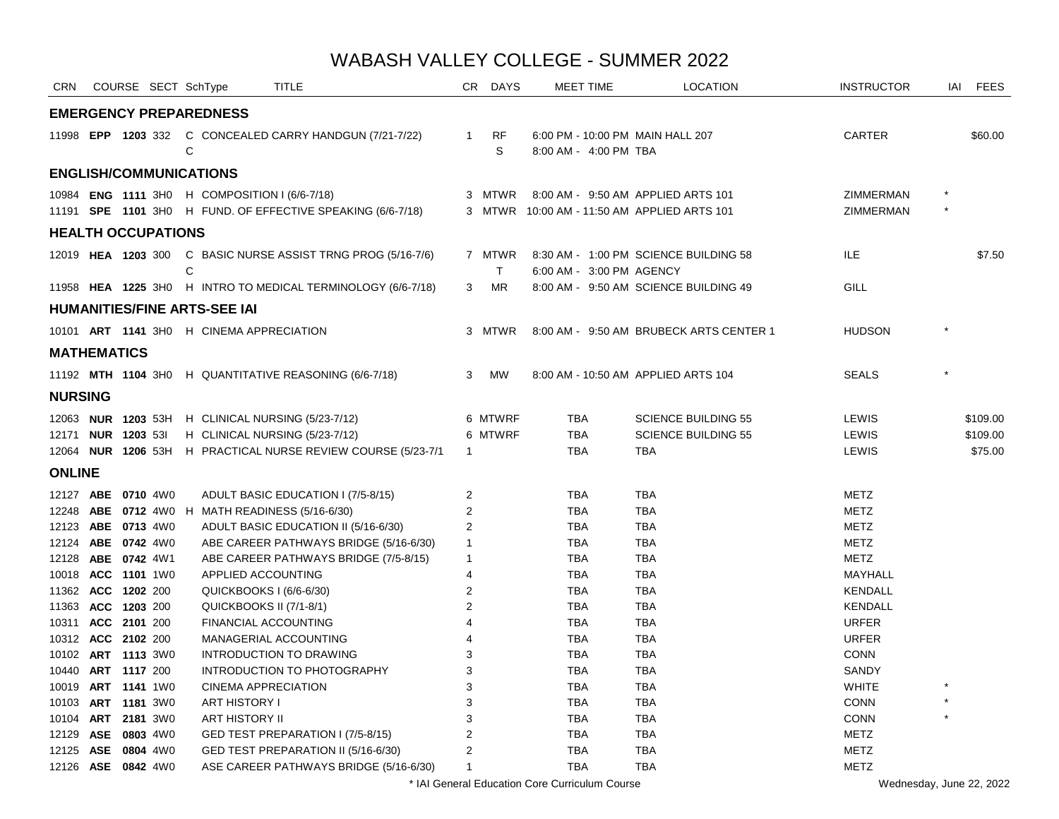| CRN                       |  | COURSE SECT SchType |              |                                               | TITLE                                                        | CR.            | DAYS      | <b>MEET TIME</b>         | <b>LOCATION</b>                             | <b>INSTRUCTOR</b> | IAI     | <b>FEES</b> |
|---------------------------|--|---------------------|--------------|-----------------------------------------------|--------------------------------------------------------------|----------------|-----------|--------------------------|---------------------------------------------|-------------------|---------|-------------|
|                           |  |                     |              | <b>EMERGENCY PREPAREDNESS</b>                 |                                                              |                |           |                          |                                             |                   |         |             |
|                           |  |                     | C            |                                               | 11998 EPP 1203 332 C CONCEALED CARRY HANDGUN (7/21-7/22)     | $\mathbf{1}$   | RF<br>S   | 8:00 AM - 4:00 PM TBA    | 6:00 PM - 10:00 PM MAIN HALL 207            | CARTER            |         | \$60.00     |
|                           |  |                     |              | <b>ENGLISH/COMMUNICATIONS</b>                 |                                                              |                |           |                          |                                             |                   |         |             |
|                           |  |                     |              | 10984 ENG 1111 3H0 H COMPOSITION I (6/6-7/18) |                                                              |                | 3 MTWR    |                          | 8:00 AM - 9:50 AM APPLIED ARTS 101          | ZIMMERMAN         |         |             |
|                           |  |                     |              |                                               | 11191 SPE 1101 3H0 H FUND. OF EFFECTIVE SPEAKING (6/6-7/18)  |                |           |                          | 3 MTWR 10:00 AM - 11:50 AM APPLIED ARTS 101 | ZIMMERMAN         |         |             |
| <b>HEALTH OCCUPATIONS</b> |  |                     |              |                                               |                                                              |                |           |                          |                                             |                   |         |             |
|                           |  |                     |              |                                               | 12019 HEA 1203 300 C BASIC NURSE ASSIST TRNG PROG (5/16-7/6) |                | 7 MTWR    |                          | 8:30 AM - 1:00 PM SCIENCE BUILDING 58       | ILE.              |         | \$7.50      |
|                           |  |                     | $\mathsf{C}$ |                                               |                                                              |                | T.        | 6:00 AM - 3:00 PM AGENCY |                                             |                   |         |             |
|                           |  |                     |              |                                               | 11958 HEA 1225 3H0 H INTRO TO MEDICAL TERMINOLOGY (6/6-7/18) | 3 <sup>1</sup> | <b>MR</b> |                          | 8:00 AM - 9:50 AM SCIENCE BUILDING 49       | GILL              |         |             |
|                           |  |                     |              | <b>HUMANITIES/FINE ARTS-SEE IAI</b>           |                                                              |                |           |                          |                                             |                   |         |             |
|                           |  |                     |              | 10101 ART 1141 3HO H CINEMA APPRECIATION      |                                                              |                | 3 MTWR    |                          | 8:00 AM - 9:50 AM BRUBECK ARTS CENTER 1     | <b>HUDSON</b>     |         |             |
| <b>MATHEMATICS</b>        |  |                     |              |                                               |                                                              |                |           |                          |                                             |                   |         |             |
|                           |  |                     |              |                                               | 11192 MTH 1104 3H0 H QUANTITATIVE REASONING (6/6-7/18)       | 3              | MW        |                          | 8:00 AM - 10:50 AM APPLIED ARTS 104         | <b>SEALS</b>      |         |             |
| <b>NURSING</b>            |  |                     |              |                                               |                                                              |                |           |                          |                                             |                   |         |             |
|                           |  |                     |              |                                               | 12063 NUR 1203 53H H CLINICAL NURSING (5/23-7/12)            |                | 6 MTWRF   | <b>TBA</b>               | <b>SCIENCE BUILDING 55</b>                  | LEWIS             |         | \$109.00    |
| 12171 <b>NUR 1203</b> 531 |  |                     |              |                                               | H CLINICAL NURSING (5/23-7/12)                               |                | 6 MTWRF   | <b>TBA</b>               | <b>SCIENCE BUILDING 55</b>                  | LEWIS             |         | \$109.00    |
|                           |  |                     |              |                                               | 12064 NUR 1206 53H H PRACTICAL NURSE REVIEW COURSE (5/23-7/1 | $\overline{1}$ |           | <b>TBA</b>               | <b>TBA</b>                                  | LEWIS             |         | \$75.00     |
| <b>ONLINE</b>             |  |                     |              |                                               |                                                              |                |           |                          |                                             |                   |         |             |
| 12127 ABE 0710 4W0        |  |                     |              |                                               | ADULT BASIC EDUCATION I (7/5-8/15)                           | $\overline{c}$ |           | <b>TBA</b>               | <b>TBA</b>                                  | <b>METZ</b>       |         |             |
|                           |  |                     |              |                                               | 12248 ABE 0712 4W0 H MATH READINESS (5/16-6/30)              | 2              |           | <b>TBA</b>               | <b>TBA</b>                                  | <b>METZ</b>       |         |             |
| 12123 ABE 0713 4W0        |  |                     |              |                                               | ADULT BASIC EDUCATION II (5/16-6/30)                         | 2              |           | TBA                      | <b>TBA</b>                                  | <b>METZ</b>       |         |             |
| 12124 ABE 0742 4W0        |  |                     |              |                                               | ABE CAREER PATHWAYS BRIDGE (5/16-6/30)                       | $\mathbf{1}$   |           | <b>TBA</b>               | <b>TBA</b>                                  | <b>METZ</b>       |         |             |
| 12128 ABE 0742 4W1        |  |                     |              |                                               | ABE CAREER PATHWAYS BRIDGE (7/5-8/15)                        | $\mathbf{1}$   |           | <b>TBA</b>               | <b>TBA</b>                                  | <b>METZ</b>       |         |             |
| 10018 ACC 1101 1W0        |  |                     |              | APPLIED ACCOUNTING                            |                                                              | $\overline{4}$ |           | <b>TBA</b>               | <b>TBA</b>                                  | MAYHALL           |         |             |
| 11362 ACC 1202 200        |  |                     |              | QUICKBOOKS I (6/6-6/30)                       |                                                              | $\overline{2}$ |           | <b>TBA</b>               | <b>TBA</b>                                  | <b>KENDALL</b>    |         |             |
| 11363 ACC 1203 200        |  |                     |              | QUICKBOOKS II (7/1-8/1)                       |                                                              | 2              |           | <b>TBA</b>               | <b>TBA</b>                                  | <b>KENDALL</b>    |         |             |
| 10311 ACC 2101 200        |  |                     |              | FINANCIAL ACCOUNTING                          |                                                              | 4              |           | <b>TBA</b>               | <b>TBA</b>                                  | <b>URFER</b>      |         |             |
| 10312 ACC 2102 200        |  |                     |              |                                               | MANAGERIAL ACCOUNTING                                        | 4              |           | <b>TBA</b>               | <b>TBA</b>                                  | <b>URFER</b>      |         |             |
| 10102 ART 1113 3W0        |  |                     |              |                                               | INTRODUCTION TO DRAWING                                      | 3              |           | <b>TBA</b>               | <b>TBA</b>                                  | CONN              |         |             |
| 10440 ART 1117 200        |  |                     |              |                                               | INTRODUCTION TO PHOTOGRAPHY                                  | 3              |           | <b>TBA</b>               | <b>TBA</b>                                  | <b>SANDY</b>      |         |             |
| 10019 ART 1141 1W0        |  |                     |              | <b>CINEMA APPRECIATION</b>                    |                                                              | 3              |           | <b>TBA</b>               | <b>TBA</b>                                  | <b>WHITE</b>      |         |             |
| 10103 ART 1181 3W0        |  |                     |              | <b>ART HISTORY I</b>                          |                                                              | 3              |           | <b>TBA</b>               | <b>TBA</b>                                  | CONN              |         |             |
| 10104 ART 2181 3W0        |  |                     |              | ART HISTORY II                                |                                                              | 3              |           | <b>TBA</b>               | <b>TBA</b>                                  | CONN              | $\star$ |             |
| 12129 ASE 0803 4W0        |  |                     |              |                                               | GED TEST PREPARATION I (7/5-8/15)                            | 2              |           | <b>TBA</b>               | <b>TBA</b>                                  | <b>METZ</b>       |         |             |
| 12125 ASE 0804 4W0        |  |                     |              |                                               | GED TEST PREPARATION II (5/16-6/30)                          | 2              |           | <b>TBA</b>               | <b>TBA</b>                                  | <b>METZ</b>       |         |             |
| 12126 ASE 0842 4W0        |  |                     |              |                                               | ASE CAREER PATHWAYS BRIDGE (5/16-6/30)                       | $\mathbf{1}$   |           | <b>TBA</b>               | <b>TBA</b>                                  | <b>METZ</b>       |         |             |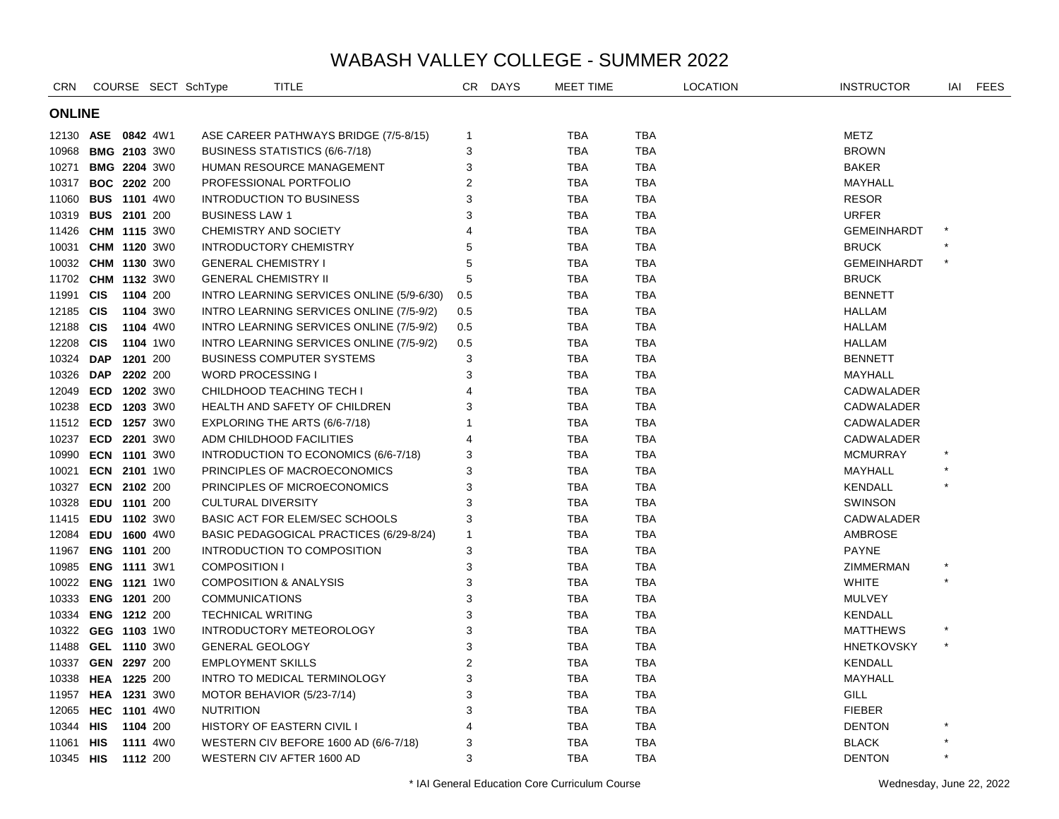| <b>CRN</b>         |                     |                     |                 | COURSE SECT SchType       | TITLE                                     | CR             | <b>DAYS</b> | MEET TIME  |            | <b>LOCATION</b> | <b>INSTRUCTOR</b>  | IAI     | FEES |  |
|--------------------|---------------------|---------------------|-----------------|---------------------------|-------------------------------------------|----------------|-------------|------------|------------|-----------------|--------------------|---------|------|--|
|                    | <b>ONLINE</b>       |                     |                 |                           |                                           |                |             |            |            |                 |                    |         |      |  |
| 12130 ASE 0842 4W1 |                     |                     |                 |                           | ASE CAREER PATHWAYS BRIDGE (7/5-8/15)     | 1              |             | <b>TBA</b> | TBA        |                 | METZ               |         |      |  |
| 10968              | <b>BMG 2103 3W0</b> |                     |                 |                           | BUSINESS STATISTICS (6/6-7/18)            | 3              |             | TBA        | TBA        |                 | <b>BROWN</b>       |         |      |  |
| 10271              |                     | <b>BMG 2204 3W0</b> |                 |                           | HUMAN RESOURCE MANAGEMENT                 | 3              |             | <b>TBA</b> | TBA        |                 | <b>BAKER</b>       |         |      |  |
| 10317              |                     | <b>BOC 2202 200</b> |                 |                           | PROFESSIONAL PORTFOLIO                    | 2              |             | <b>TBA</b> | TBA        |                 | MAYHALL            |         |      |  |
| 11060              | <b>BUS 1101 4W0</b> |                     |                 |                           | <b>INTRODUCTION TO BUSINESS</b>           | 3              |             | <b>TBA</b> | TBA        |                 | <b>RESOR</b>       |         |      |  |
| 10319              | <b>BUS 2101 200</b> |                     |                 | <b>BUSINESS LAW 1</b>     |                                           | 3              |             | <b>TBA</b> | TBA        |                 | <b>URFER</b>       |         |      |  |
| 11426 CHM 1115 3W0 |                     |                     |                 |                           | <b>CHEMISTRY AND SOCIETY</b>              | 4              |             | TBA        | TBA        |                 | <b>GEMEINHARDT</b> |         |      |  |
| 10031              | <b>CHM 1120 3W0</b> |                     |                 |                           | <b>INTRODUCTORY CHEMISTRY</b>             | 5              |             | <b>TBA</b> | <b>TBA</b> |                 | <b>BRUCK</b>       |         |      |  |
| 10032 CHM 1130 3W0 |                     |                     |                 |                           | <b>GENERAL CHEMISTRY I</b>                | 5              |             | <b>TBA</b> | <b>TBA</b> |                 | <b>GEMEINHARDT</b> | $\star$ |      |  |
| 11702 CHM 1132 3W0 |                     |                     |                 |                           | <b>GENERAL CHEMISTRY II</b>               | 5              |             | <b>TBA</b> | <b>TBA</b> |                 | <b>BRUCK</b>       |         |      |  |
| 11991              | <b>CIS</b>          | 1104 200            |                 |                           | INTRO LEARNING SERVICES ONLINE (5/9-6/30) | 0.5            |             | <b>TBA</b> | TBA        |                 | <b>BENNETT</b>     |         |      |  |
| 12185 CIS          |                     |                     | 1104 3W0        |                           | INTRO LEARNING SERVICES ONLINE (7/5-9/2)  | 0.5            |             | <b>TBA</b> | <b>TBA</b> |                 | HALLAM             |         |      |  |
| 12188 CIS          |                     |                     | 1104 4W0        |                           | INTRO LEARNING SERVICES ONLINE (7/5-9/2)  | 0.5            |             | <b>TBA</b> | <b>TBA</b> |                 | HALLAM             |         |      |  |
| 12208 CIS          |                     |                     | 1104 1W0        |                           | INTRO LEARNING SERVICES ONLINE (7/5-9/2)  | 0.5            |             | <b>TBA</b> | <b>TBA</b> |                 | HALLAM             |         |      |  |
| 10324 DAP          |                     | 1201 200            |                 |                           | <b>BUSINESS COMPUTER SYSTEMS</b>          | 3              |             | <b>TBA</b> | <b>TBA</b> |                 | <b>BENNETT</b>     |         |      |  |
| 10326 DAP          |                     | 2202 200            |                 | <b>WORD PROCESSING I</b>  |                                           | 3              |             | <b>TBA</b> | <b>TBA</b> |                 | MAYHALL            |         |      |  |
| 12049              | ECD                 |                     | <b>1202</b> 3W0 |                           | CHILDHOOD TEACHING TECH I                 | 4              |             | <b>TBA</b> | <b>TBA</b> |                 | CADWALADER         |         |      |  |
| 10238 ECD          |                     |                     | 1203 3W0        |                           | HEALTH AND SAFETY OF CHILDREN             | 3              |             | <b>TBA</b> | <b>TBA</b> |                 | CADWALADER         |         |      |  |
| 11512 ECD 1257 3W0 |                     |                     |                 |                           | EXPLORING THE ARTS (6/6-7/18)             | 1              |             | <b>TBA</b> | <b>TBA</b> |                 | <b>CADWALADER</b>  |         |      |  |
| 10237              |                     | ECD 2201 3W0        |                 |                           | ADM CHILDHOOD FACILITIES                  | 4              |             | <b>TBA</b> | <b>TBA</b> |                 | CADWALADER         |         |      |  |
| 10990              |                     | ECN 1101 3W0        |                 |                           | INTRODUCTION TO ECONOMICS (6/6-7/18)      | 3              |             | <b>TBA</b> | <b>TBA</b> |                 | <b>MCMURRAY</b>    |         |      |  |
| 10021              |                     | ECN 2101 1W0        |                 |                           | PRINCIPLES OF MACROECONOMICS              | 3              |             | <b>TBA</b> | <b>TBA</b> |                 | MAYHALL            |         |      |  |
| 10327              |                     | ECN 2102 200        |                 |                           | PRINCIPLES OF MICROECONOMICS              | 3              |             | <b>TBA</b> | <b>TBA</b> |                 | <b>KENDALL</b>     |         |      |  |
| 10328              | EDU 1101 200        |                     |                 | <b>CULTURAL DIVERSITY</b> |                                           | 3              |             | <b>TBA</b> | <b>TBA</b> |                 | <b>SWINSON</b>     |         |      |  |
| 11415              | EDU 1102 3W0        |                     |                 |                           | <b>BASIC ACT FOR ELEM/SEC SCHOOLS</b>     | 3              |             | <b>TBA</b> | <b>TBA</b> |                 | CADWALADER         |         |      |  |
| 12084              |                     | EDU 1600 4W0        |                 |                           | BASIC PEDAGOGICAL PRACTICES (6/29-8/24)   | $\mathbf{1}$   |             | <b>TBA</b> | <b>TBA</b> |                 | <b>AMBROSE</b>     |         |      |  |
| 11967              |                     | ENG 1101 200        |                 |                           | INTRODUCTION TO COMPOSITION               | 3              |             | <b>TBA</b> | <b>TBA</b> |                 | <b>PAYNE</b>       |         |      |  |
| 10985              | <b>ENG 1111 3W1</b> |                     |                 | <b>COMPOSITION I</b>      |                                           | 3              |             | <b>TBA</b> | <b>TBA</b> |                 | ZIMMERMAN          |         |      |  |
| 10022              | ENG 1121 1W0        |                     |                 |                           | <b>COMPOSITION &amp; ANALYSIS</b>         | 3              |             | <b>TBA</b> | <b>TBA</b> |                 | <b>WHITE</b>       | $\star$ |      |  |
| 10333              | ENG 1201 200        |                     |                 | <b>COMMUNICATIONS</b>     |                                           | 3              |             | <b>TBA</b> | <b>TBA</b> |                 | <b>MULVEY</b>      |         |      |  |
| 10334              |                     | ENG 1212 200        |                 | <b>TECHNICAL WRITING</b>  |                                           | 3              |             | <b>TBA</b> | <b>TBA</b> |                 | <b>KENDALL</b>     |         |      |  |
| 10322 GEG 1103 1W0 |                     |                     |                 |                           | INTRODUCTORY METEOROLOGY                  | 3              |             | <b>TBA</b> | <b>TBA</b> |                 | <b>MATTHEWS</b>    |         |      |  |
| 11488              | GEL 1110 3W0        |                     |                 | <b>GENERAL GEOLOGY</b>    |                                           | 3              |             | <b>TBA</b> | <b>TBA</b> |                 | <b>HNETKOVSKY</b>  |         |      |  |
| 10337 GEN 2297 200 |                     |                     |                 | <b>EMPLOYMENT SKILLS</b>  |                                           | $\overline{2}$ |             | <b>TBA</b> | <b>TBA</b> |                 | <b>KENDALL</b>     |         |      |  |
| 10338 HEA 1225 200 |                     |                     |                 |                           | INTRO TO MEDICAL TERMINOLOGY              | 3              |             | <b>TBA</b> | <b>TBA</b> |                 | MAYHALL            |         |      |  |
| 11957 HEA 1231 3W0 |                     |                     |                 |                           | MOTOR BEHAVIOR (5/23-7/14)                | 3              |             | <b>TBA</b> | <b>TBA</b> |                 | <b>GILL</b>        |         |      |  |
| 12065 HEC 1101 4W0 |                     |                     |                 | <b>NUTRITION</b>          |                                           | 3              |             | TBA        | <b>TBA</b> |                 | <b>FIEBER</b>      |         |      |  |
| 10344 HIS          |                     | 1104 200            |                 |                           | <b>HISTORY OF EASTERN CIVIL I</b>         | 4              |             | TBA        | <b>TBA</b> |                 | <b>DENTON</b>      |         |      |  |
| 11061 HIS          |                     |                     | 1111 4W0        |                           | WESTERN CIV BEFORE 1600 AD (6/6-7/18)     | 3              |             | <b>TBA</b> | <b>TBA</b> |                 | <b>BLACK</b>       | $\star$ |      |  |
| 10345 HIS          |                     | 1112 200            |                 |                           | WESTERN CIV AFTER 1600 AD                 | 3              |             | <b>TBA</b> | <b>TBA</b> |                 | <b>DENTON</b>      |         |      |  |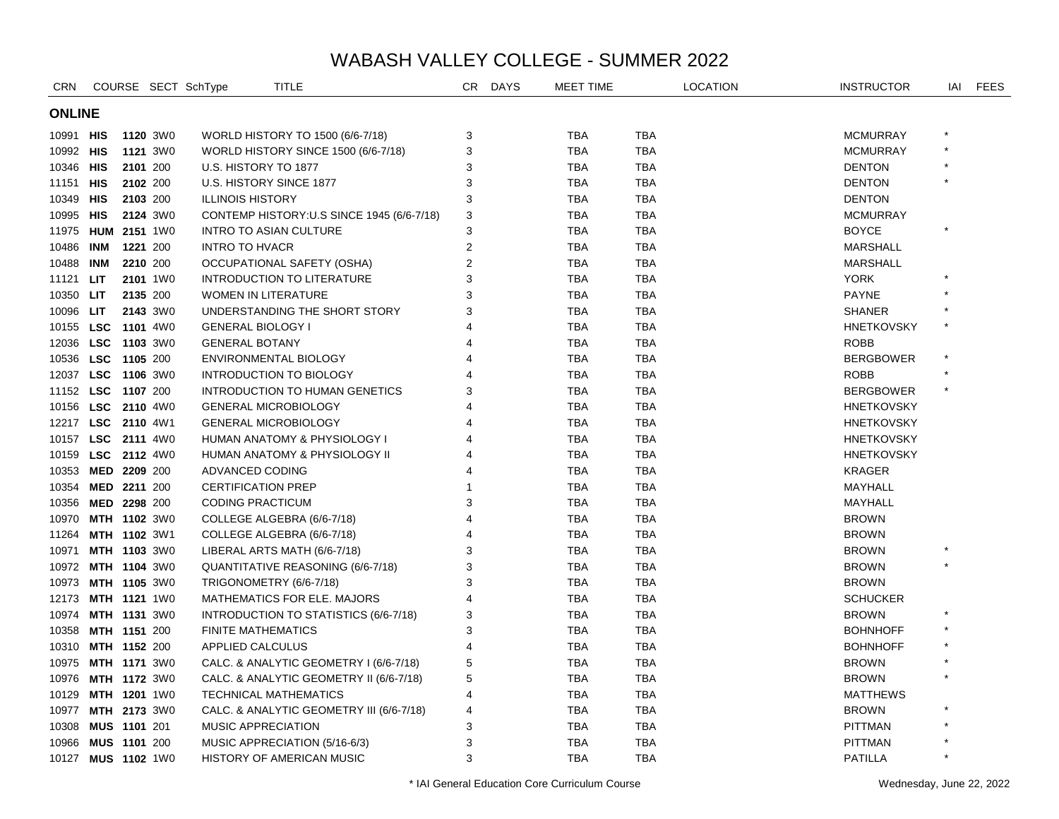| <b>CRN</b>         |               |                     |                 | COURSE SECT SchType        | TITLE                                      | CR             | <b>DAYS</b> | MEET TIME  |            | <b>LOCATION</b> | <b>INSTRUCTOR</b> | IAI | <b>FEES</b> |  |
|--------------------|---------------|---------------------|-----------------|----------------------------|--------------------------------------------|----------------|-------------|------------|------------|-----------------|-------------------|-----|-------------|--|
|                    | <b>ONLINE</b> |                     |                 |                            |                                            |                |             |            |            |                 |                   |     |             |  |
| 10991 HIS          |               |                     | <b>1120 3W0</b> |                            | WORLD HISTORY TO 1500 (6/6-7/18)           | 3              |             | TBA        | <b>TBA</b> |                 | <b>MCMURRAY</b>   |     |             |  |
| 10992 HIS          |               |                     | 1121 3W0        |                            | WORLD HISTORY SINCE 1500 (6/6-7/18)        | 3              |             | <b>TBA</b> | <b>TBA</b> |                 | <b>MCMURRAY</b>   |     |             |  |
| 10346 HIS          |               |                     | 2101 200        | U.S. HISTORY TO 1877       |                                            | 3              |             | <b>TBA</b> | <b>TBA</b> |                 | <b>DENTON</b>     |     |             |  |
| 11151              | HIS           | 2102 200            |                 |                            | U.S. HISTORY SINCE 1877                    | 3              |             | <b>TBA</b> | <b>TBA</b> |                 | <b>DENTON</b>     |     |             |  |
| 10349 HIS          |               | 2103 200            |                 | <b>ILLINOIS HISTORY</b>    |                                            | 3              |             | <b>TBA</b> | <b>TBA</b> |                 | <b>DENTON</b>     |     |             |  |
| 10995 HIS          |               |                     | 2124 3W0        |                            | CONTEMP HISTORY: U.S SINCE 1945 (6/6-7/18) | 3              |             | <b>TBA</b> | <b>TBA</b> |                 | <b>MCMURRAY</b>   |     |             |  |
| 11975 HUM 2151 1W0 |               |                     |                 |                            | <b>INTRO TO ASIAN CULTURE</b>              | 3              |             | <b>TBA</b> | <b>TBA</b> |                 | <b>BOYCE</b>      |     |             |  |
| 10486              | <b>INM</b>    | 1221 200            |                 | <b>INTRO TO HVACR</b>      |                                            | 2              |             | <b>TBA</b> | <b>TBA</b> |                 | <b>MARSHALL</b>   |     |             |  |
| 10488              | <b>INM</b>    |                     | 2210 200        |                            | OCCUPATIONAL SAFETY (OSHA)                 | $\overline{2}$ |             | <b>TBA</b> | <b>TBA</b> |                 | <b>MARSHALL</b>   |     |             |  |
| 11121              | LIT           |                     | 2101 1W0        |                            | INTRODUCTION TO LITERATURE                 | 3              |             | <b>TBA</b> | <b>TBA</b> |                 | <b>YORK</b>       |     |             |  |
| 10350 LIT          |               |                     | 2135 200        | <b>WOMEN IN LITERATURE</b> |                                            | 3              |             | <b>TBA</b> | <b>TBA</b> |                 | <b>PAYNE</b>      |     |             |  |
| 10096              | <b>LIT</b>    |                     | 2143 3W0        |                            | UNDERSTANDING THE SHORT STORY              | 3              |             | <b>TBA</b> | <b>TBA</b> |                 | <b>SHANER</b>     |     |             |  |
| 10155 LSC 1101 4W0 |               |                     |                 | <b>GENERAL BIOLOGY I</b>   |                                            | 4              |             | <b>TBA</b> | <b>TBA</b> |                 | <b>HNETKOVSKY</b> |     |             |  |
| 12036              |               | LSC 1103 3W0        |                 | <b>GENERAL BOTANY</b>      |                                            | 4              |             | <b>TBA</b> | <b>TBA</b> |                 | <b>ROBB</b>       |     |             |  |
| 10536              |               | LSC 1105 200        |                 |                            | ENVIRONMENTAL BIOLOGY                      | 4              |             | <b>TBA</b> | <b>TBA</b> |                 | <b>BERGBOWER</b>  |     |             |  |
| 12037              |               | LSC 1106 3W0        |                 |                            | <b>INTRODUCTION TO BIOLOGY</b>             |                |             | <b>TBA</b> | <b>TBA</b> |                 | <b>ROBB</b>       |     |             |  |
| 11152 LSC 1107 200 |               |                     |                 |                            | <b>INTRODUCTION TO HUMAN GENETICS</b>      | 3              |             | <b>TBA</b> | <b>TBA</b> |                 | <b>BERGBOWER</b>  |     |             |  |
| 10156              |               | LSC 2110 4W0        |                 |                            | <b>GENERAL MICROBIOLOGY</b>                | 4              |             | <b>TBA</b> | <b>TBA</b> |                 | <b>HNETKOVSKY</b> |     |             |  |
| 12217 LSC 2110 4W1 |               |                     |                 |                            | <b>GENERAL MICROBIOLOGY</b>                | 4              |             | <b>TBA</b> | <b>TBA</b> |                 | <b>HNETKOVSKY</b> |     |             |  |
| 10157              |               | <b>LSC</b> 2111 4W0 |                 |                            | HUMAN ANATOMY & PHYSIOLOGY I               |                |             | <b>TBA</b> | <b>TBA</b> |                 | <b>HNETKOVSKY</b> |     |             |  |
| 10159 LSC 2112 4W0 |               |                     |                 |                            | HUMAN ANATOMY & PHYSIOLOGY II              | 4              |             | <b>TBA</b> | <b>TBA</b> |                 | <b>HNETKOVSKY</b> |     |             |  |
| 10353              | MED 2209 200  |                     |                 | ADVANCED CODING            |                                            | 4              |             | <b>TBA</b> | <b>TBA</b> |                 | <b>KRAGER</b>     |     |             |  |
| 10354              |               | MED 2211 200        |                 | <b>CERTIFICATION PREP</b>  |                                            |                |             | <b>TBA</b> | <b>TBA</b> |                 | MAYHALL           |     |             |  |
| 10356              | MED 2298 200  |                     |                 | <b>CODING PRACTICUM</b>    |                                            | 3              |             | <b>TBA</b> | <b>TBA</b> |                 | MAYHALL           |     |             |  |
| 10970              |               | <b>MTH 1102 3W0</b> |                 |                            | COLLEGE ALGEBRA (6/6-7/18)                 | 4              |             | <b>TBA</b> | <b>TBA</b> |                 | <b>BROWN</b>      |     |             |  |
| 11264              |               | <b>MTH 1102 3W1</b> |                 |                            | COLLEGE ALGEBRA (6/6-7/18)                 | 4              |             | <b>TBA</b> | <b>TBA</b> |                 | <b>BROWN</b>      |     |             |  |
| 10971              |               | <b>MTH 1103 3W0</b> |                 |                            | LIBERAL ARTS MATH (6/6-7/18)               | 3              |             | <b>TBA</b> | TBA        |                 | <b>BROWN</b>      |     |             |  |
| 10972 MTH 1104 3W0 |               |                     |                 |                            | QUANTITATIVE REASONING (6/6-7/18)          | 3              |             | <b>TBA</b> | <b>TBA</b> |                 | <b>BROWN</b>      |     |             |  |
| 10973              |               | <b>MTH 1105 3W0</b> |                 |                            | TRIGONOMETRY (6/6-7/18)                    | 3              |             | <b>TBA</b> | <b>TBA</b> |                 | <b>BROWN</b>      |     |             |  |
| 12173              |               | <b>MTH 1121</b> 1W0 |                 |                            | MATHEMATICS FOR ELE. MAJORS                | $\overline{4}$ |             | <b>TBA</b> | <b>TBA</b> |                 | <b>SCHUCKER</b>   |     |             |  |
| 10974              |               | <b>MTH 1131 3W0</b> |                 |                            | INTRODUCTION TO STATISTICS (6/6-7/18)      | 3              |             | <b>TBA</b> | <b>TBA</b> |                 | <b>BROWN</b>      |     |             |  |
| 10358              |               | MTH 1151 200        |                 | <b>FINITE MATHEMATICS</b>  |                                            | 3              |             | <b>TBA</b> | <b>TBA</b> |                 | <b>BOHNHOFF</b>   |     |             |  |
| 10310 MTH 1152 200 |               |                     |                 | APPLIED CALCULUS           |                                            | $\overline{4}$ |             | <b>TBA</b> | <b>TBA</b> |                 | <b>BOHNHOFF</b>   |     |             |  |
| 10975 MTH 1171 3W0 |               |                     |                 |                            | CALC. & ANALYTIC GEOMETRY I (6/6-7/18)     | 5              |             | <b>TBA</b> | <b>TBA</b> |                 | <b>BROWN</b>      |     |             |  |
| 10976              |               | MTH 1172 3W0        |                 |                            | CALC. & ANALYTIC GEOMETRY II (6/6-7/18)    | 5              |             | <b>TBA</b> | <b>TBA</b> |                 | <b>BROWN</b>      |     |             |  |
| 10129              |               | MTH 1201 1W0        |                 |                            | <b>TECHNICAL MATHEMATICS</b>               | $\overline{4}$ |             | <b>TBA</b> | <b>TBA</b> |                 | <b>MATTHEWS</b>   |     |             |  |
| 10977              |               | <b>MTH 2173 3W0</b> |                 |                            | CALC. & ANALYTIC GEOMETRY III (6/6-7/18)   | 4              |             | <b>TBA</b> | <b>TBA</b> |                 | <b>BROWN</b>      |     |             |  |
| 10308              |               | MUS 1101 201        |                 | MUSIC APPRECIATION         |                                            | 3              |             | <b>TBA</b> | <b>TBA</b> |                 | <b>PITTMAN</b>    |     |             |  |
| 10966 MUS 1101 200 |               |                     |                 |                            | MUSIC APPRECIATION (5/16-6/3)              | 3              |             | <b>TBA</b> | <b>TBA</b> |                 | <b>PITTMAN</b>    |     |             |  |
| 10127 MUS 1102 1W0 |               |                     |                 |                            | <b>HISTORY OF AMERICAN MUSIC</b>           | 3              |             | <b>TBA</b> | <b>TBA</b> |                 | <b>PATILLA</b>    |     |             |  |